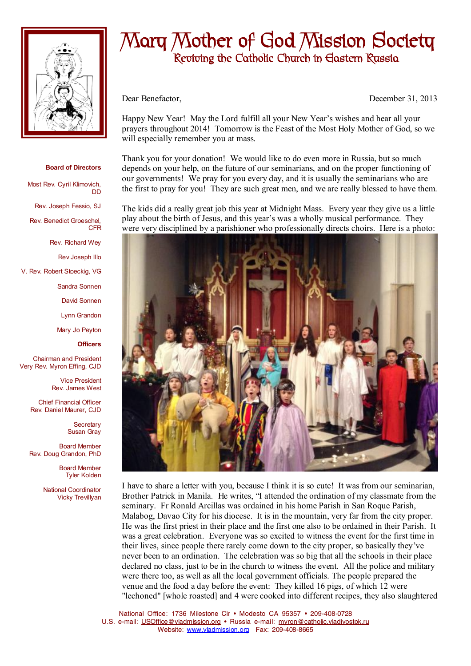

## **Mary Mother of God Mission Society Reviving the Catholic Church in Eastern Russia**

Dear Benefactor, December 31, 2013

Happy New Year! May the Lord fulfill all your New Year's wishes and hear all your prayers throughout 2014! Tomorrow is the Feast of the Most Holy Mother of God, so we will especially remember you at mass.

Thank you for your donation! We would like to do even more in Russia, but so much depends on your help, on the future of our seminarians, and on the proper functioning of our governments! We pray for you every day, and it is usually the seminarians who are the first to pray for you! They are such great men, and we are really blessed to have them.

The kids did a really great job this year at Midnight Mass. Every year they give us a little play about the birth of Jesus, and this year's was a wholly musical performance. They were very disciplined by a parishioner who professionally directs choirs. Here is a photo:



I have to share a letter with you, because I think it is so cute! It was from our seminarian, Brother Patrick in Manila. He writes, "I attended the ordination of my classmate from the seminary. Fr Ronald Arcillas was ordained in his home Parish in San Roque Parish, Malabog, Davao City for his diocese. It is in the mountain, very far from the city proper. He was the first priest in their place and the first one also to be ordained in their Parish. It was a great celebration. Everyone was so excited to witness the event for the first time in their lives, since people there rarely come down to the city proper, so basically they've never been to an ordination. The celebration was so big that all the schools in their place declared no class, just to be in the church to witness the event. All the police and military were there too, as well as all the local government officials. The people prepared the venue and the food a day before the event: They killed 16 pigs, of which 12 were "lechoned" [whole roasted] and 4 were cooked into different recipes, they also slaughtered

National Office: 1736 Milestone Cir • Modesto CA 95357 • 209-408-0728 U.S. e-mail: [USOffice@vladmission.org](mailto:USOffice@vladmission.org) • Russia e-mail: [myron@catholic.vladivostok.ru](mailto:myron@catholic.vladivostok.ru) Website: [www.vladmission.org](http://www.vladmission.org) Fax: 209-408-8665

## **Board of Directors**

DD

Most Rev. Cyril Klimovich,

Rev. Joseph Fessio, SJ

Rev. Benedict Groeschel, CFR

Rev. Richard Wey

Rev Joseph Illo

V. Rev. Robert Stoeckig, VG

Sandra Sonnen

David Sonnen

Lynn Grandon

Mary Jo Peyton

**Officers**

Chairman and President Very Rev. Myron Effing, CJD

> Vice President Rev. James West

Chief Financial Officer Rev. Daniel Maurer, CJD

> **Secretary** Susan Gray

Board Member Rev. Doug Grandon, PhD

> Board Member Tyler Kolden

National Coordinator Vicky Trevillyan